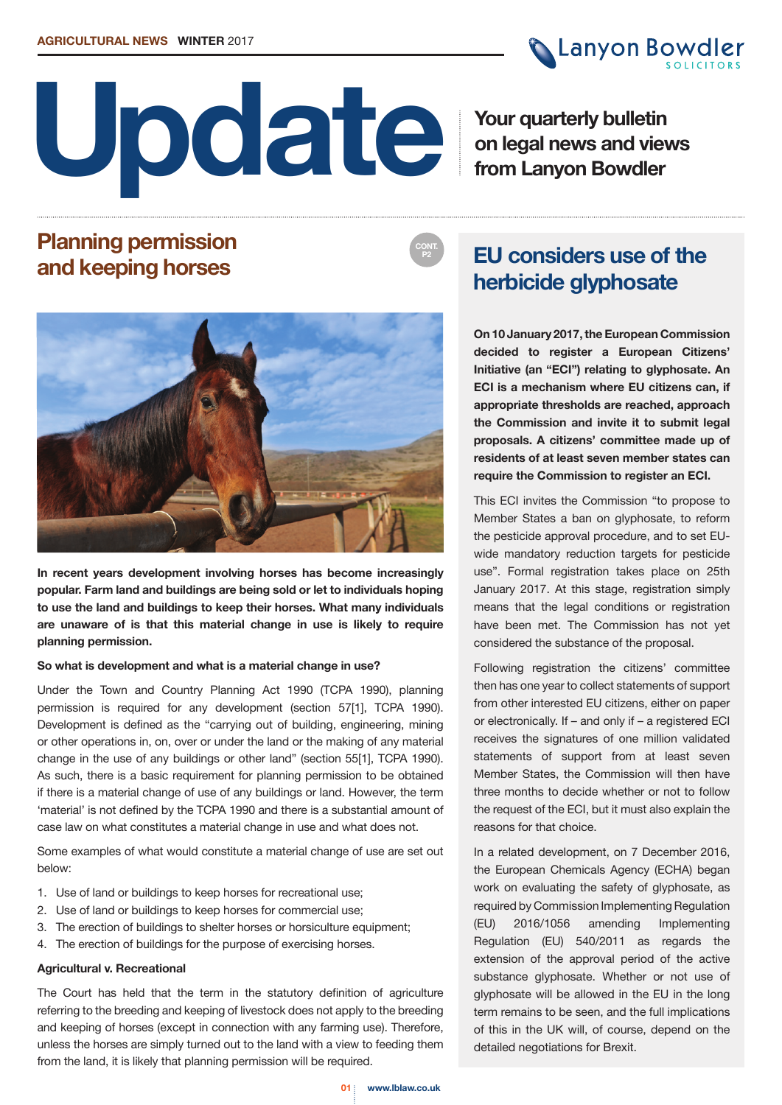

**Canyon Bowdler** 

**Your quarterly bulletin on legal news and views from Lanyon Bowdler**

## **Planning permission and keeping horses**



**In recent years development involving horses has become increasingly popular. Farm land and buildings are being sold or let to individuals hoping to use the land and buildings to keep their horses. What many individuals are unaware of is that this material change in use is likely to require planning permission.**

### **So what is development and what is a material change in use?**

Under the Town and Country Planning Act 1990 (TCPA 1990), planning permission is required for any development (section 57[1], TCPA 1990). Development is defined as the "carrying out of building, engineering, mining or other operations in, on, over or under the land or the making of any material change in the use of any buildings or other land" (section 55[1], TCPA 1990). As such, there is a basic requirement for planning permission to be obtained if there is a material change of use of any buildings or land. However, the term 'material' is not defined by the TCPA 1990 and there is a substantial amount of case law on what constitutes a material change in use and what does not.

Some examples of what would constitute a material change of use are set out below:

- 1. Use of land or buildings to keep horses for recreational use;
- 2. Use of land or buildings to keep horses for commercial use;
- 3. The erection of buildings to shelter horses or horsiculture equipment;
- 4. The erection of buildings for the purpose of exercising horses.

### **Agricultural v. Recreational**

The Court has held that the term in the statutory definition of agriculture referring to the breeding and keeping of livestock does not apply to the breeding and keeping of horses (except in connection with any farming use). Therefore, unless the horses are simply turned out to the land with a view to feeding them from the land, it is likely that planning permission will be required.

## **EU considers use of the herbicide glyphosate**

**CONT. P2**

> **On 10 January 2017, the European Commission decided to register a European Citizens' Initiative (an "ECI") relating to glyphosate. An ECI is a mechanism where EU citizens can, if appropriate thresholds are reached, approach the Commission and invite it to submit legal proposals. A citizens' committee made up of residents of at least seven member states can require the Commission to register an ECI.**

> This ECI invites the Commission "to propose to Member States a ban on glyphosate, to reform the pesticide approval procedure, and to set EUwide mandatory reduction targets for pesticide use". Formal registration takes place on 25th January 2017. At this stage, registration simply means that the legal conditions or registration have been met. The Commission has not yet considered the substance of the proposal.

> Following registration the citizens' committee then has one year to collect statements of support from other interested EU citizens, either on paper or electronically. If – and only if – a registered ECI receives the signatures of one million validated statements of support from at least seven Member States, the Commission will then have three months to decide whether or not to follow the request of the ECI, but it must also explain the reasons for that choice.

> In a related development, on 7 December 2016, the European Chemicals Agency (ECHA) began work on evaluating the safety of glyphosate, as required by Commission Implementing Regulation (EU) 2016/1056 amending Implementing Regulation (EU) 540/2011 as regards the extension of the approval period of the active substance glyphosate. Whether or not use of glyphosate will be allowed in the EU in the long term remains to be seen, and the full implications of this in the UK will, of course, depend on the detailed negotiations for Brexit.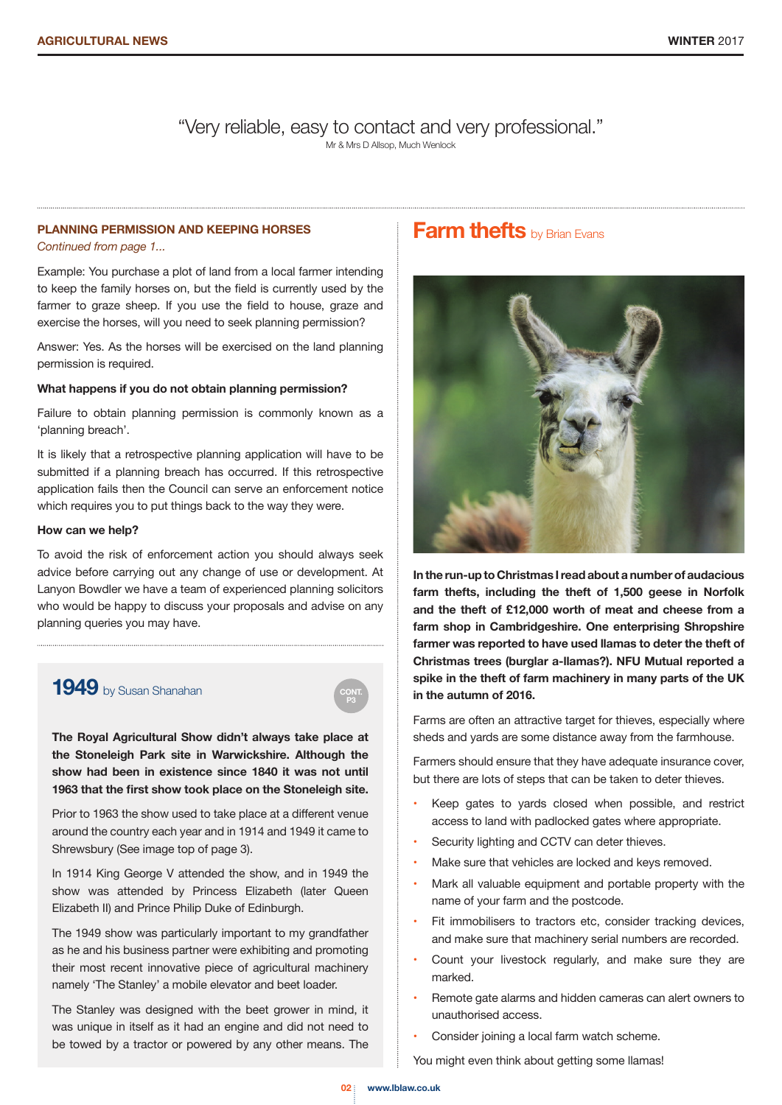"Very reliable, easy to contact and very professional."

Mr & Mrs D Allsop, Much Wenlock

### **PLANNING PERMISSION AND KEEPING HORSES**

*Continued from page 1...*

Example: You purchase a plot of land from a local farmer intending to keep the family horses on, but the field is currently used by the farmer to graze sheep. If you use the field to house, graze and exercise the horses, will you need to seek planning permission?

Answer: Yes. As the horses will be exercised on the land planning permission is required.

#### **What happens if you do not obtain planning permission?**

Failure to obtain planning permission is commonly known as a 'planning breach'.

It is likely that a retrospective planning application will have to be submitted if a planning breach has occurred. If this retrospective application fails then the Council can serve an enforcement notice which requires you to put things back to the way they were.

#### **How can we help?**

To avoid the risk of enforcement action you should always seek advice before carrying out any change of use or development. At Lanyon Bowdler we have a team of experienced planning solicitors who would be happy to discuss your proposals and advise on any planning queries you may have.

### **1949** by Susan Shanahan

**The Royal Agricultural Show didn't always take place at the Stoneleigh Park site in Warwickshire. Although the show had been in existence since 1840 it was not until 1963 that the first show took place on the Stoneleigh site.** 

Prior to 1963 the show used to take place at a different venue around the country each year and in 1914 and 1949 it came to Shrewsbury (See image top of page 3).

In 1914 King George V attended the show, and in 1949 the show was attended by Princess Elizabeth (later Queen Elizabeth II) and Prince Philip Duke of Edinburgh.

The 1949 show was particularly important to my grandfather as he and his business partner were exhibiting and promoting their most recent innovative piece of agricultural machinery namely 'The Stanley' a mobile elevator and beet loader.

The Stanley was designed with the beet grower in mind, it was unique in itself as it had an engine and did not need to be towed by a tractor or powered by any other means. The

### **Farm thefts** by Brian Evans



**In the run-up to Christmas I read about a number of audacious farm thefts, including the theft of 1,500 geese in Norfolk and the theft of £12,000 worth of meat and cheese from a farm shop in Cambridgeshire. One enterprising Shropshire farmer was reported to have used llamas to deter the theft of Christmas trees (burglar a-llamas?). NFU Mutual reported a spike in the theft of farm machinery in many parts of the UK in the autumn of 2016.**

Farms are often an attractive target for thieves, especially where sheds and yards are some distance away from the farmhouse.

Farmers should ensure that they have adequate insurance cover, but there are lots of steps that can be taken to deter thieves.

- Keep gates to yards closed when possible, and restrict access to land with padlocked gates where appropriate.
- Security lighting and CCTV can deter thieves.
- Make sure that vehicles are locked and keys removed.
- Mark all valuable equipment and portable property with the name of your farm and the postcode.
- Fit immobilisers to tractors etc, consider tracking devices, and make sure that machinery serial numbers are recorded.
- Count your livestock regularly, and make sure they are marked.
- Remote gate alarms and hidden cameras can alert owners to unauthorised access.
- Consider joining a local farm watch scheme.

You might even think about getting some llamas!

**P3**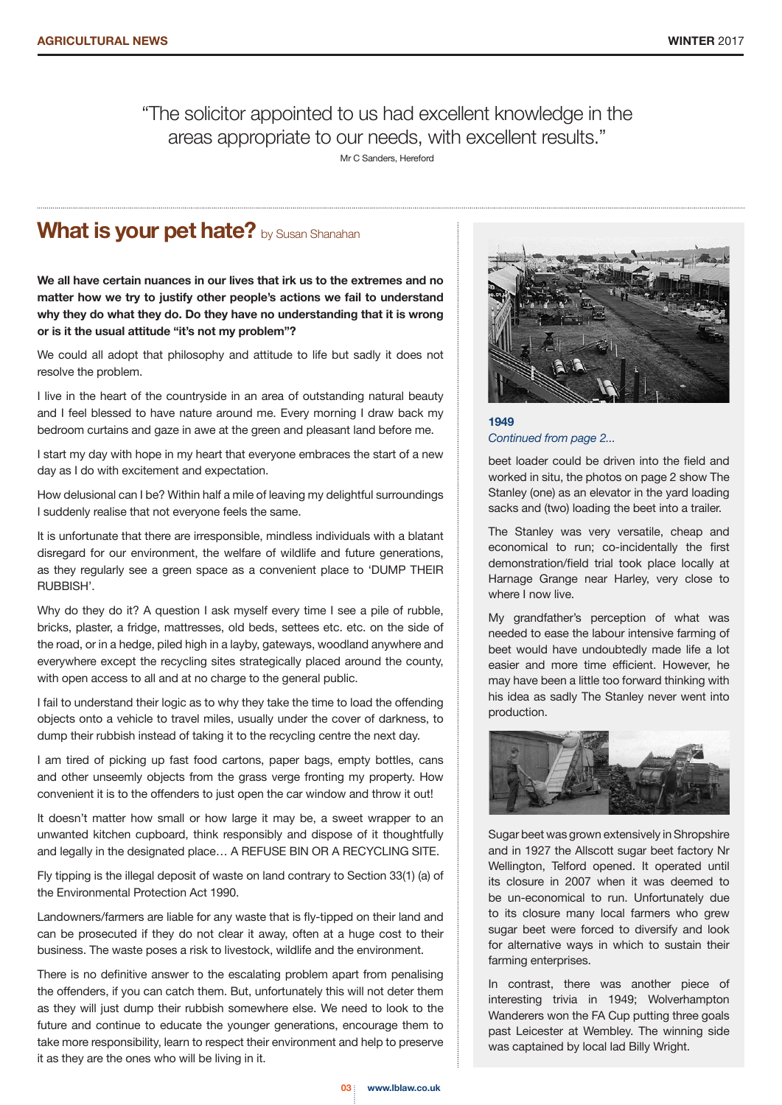### "The solicitor appointed to us had excellent knowledge in the areas appropriate to our needs, with excellent results." Mr C Sanders, Hereford

## **What is your pet hate?** by Susan Shanahan

**We all have certain nuances in our lives that irk us to the extremes and no matter how we try to justify other people's actions we fail to understand why they do what they do. Do they have no understanding that it is wrong or is it the usual attitude "it's not my problem"?**

We could all adopt that philosophy and attitude to life but sadly it does not resolve the problem.

I live in the heart of the countryside in an area of outstanding natural beauty and I feel blessed to have nature around me. Every morning I draw back my bedroom curtains and gaze in awe at the green and pleasant land before me.

I start my day with hope in my heart that everyone embraces the start of a new day as I do with excitement and expectation.

How delusional can I be? Within half a mile of leaving my delightful surroundings I suddenly realise that not everyone feels the same.

It is unfortunate that there are irresponsible, mindless individuals with a blatant disregard for our environment, the welfare of wildlife and future generations, as they regularly see a green space as a convenient place to 'DUMP THEIR RUBBISH'.

Why do they do it? A question I ask myself every time I see a pile of rubble, bricks, plaster, a fridge, mattresses, old beds, settees etc. etc. on the side of the road, or in a hedge, piled high in a layby, gateways, woodland anywhere and everywhere except the recycling sites strategically placed around the county, with open access to all and at no charge to the general public.

I fail to understand their logic as to why they take the time to load the offending objects onto a vehicle to travel miles, usually under the cover of darkness, to dump their rubbish instead of taking it to the recycling centre the next day.

I am tired of picking up fast food cartons, paper bags, empty bottles, cans and other unseemly objects from the grass verge fronting my property. How convenient it is to the offenders to just open the car window and throw it out!

It doesn't matter how small or how large it may be, a sweet wrapper to an unwanted kitchen cupboard, think responsibly and dispose of it thoughtfully and legally in the designated place… A REFUSE BIN OR A RECYCLING SITE.

Fly tipping is the illegal deposit of waste on land contrary to Section 33(1) (a) of the Environmental Protection Act 1990.

Landowners/farmers are liable for any waste that is fly-tipped on their land and can be prosecuted if they do not clear it away, often at a huge cost to their business. The waste poses a risk to livestock, wildlife and the environment.

There is no definitive answer to the escalating problem apart from penalising the offenders, if you can catch them. But, unfortunately this will not deter them as they will just dump their rubbish somewhere else. We need to look to the future and continue to educate the younger generations, encourage them to take more responsibility, learn to respect their environment and help to preserve it as they are the ones who will be living in it.



**1949** *Continued from page 2...*

beet loader could be driven into the field and worked in situ, the photos on page 2 show The Stanley (one) as an elevator in the yard loading sacks and (two) loading the beet into a trailer.

The Stanley was very versatile, cheap and economical to run; co-incidentally the first demonstration/field trial took place locally at Harnage Grange near Harley, very close to where I now live.

My grandfather's perception of what was needed to ease the labour intensive farming of beet would have undoubtedly made life a lot easier and more time efficient. However, he may have been a little too forward thinking with his idea as sadly The Stanley never went into production.



Sugar beet was grown extensively in Shropshire and in 1927 the Allscott sugar beet factory Nr Wellington, Telford opened. It operated until its closure in 2007 when it was deemed to be un-economical to run. Unfortunately due to its closure many local farmers who grew sugar beet were forced to diversify and look for alternative ways in which to sustain their farming enterprises.

In contrast, there was another piece of interesting trivia in 1949; Wolverhampton Wanderers won the FA Cup putting three goals past Leicester at Wembley. The winning side was captained by local lad Billy Wright.